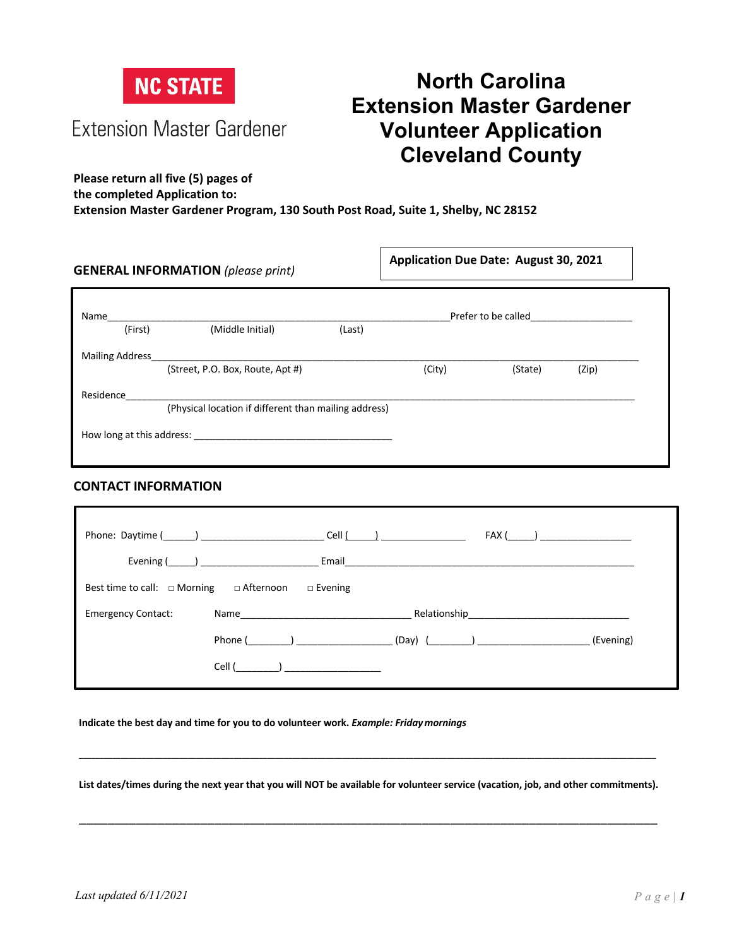

**Extension Master Gardener** 

# **North Carolina Extension Master Gardener Volunteer Application Cleveland County**

**Please return all five (5) pages of the completed Application to:** 

**Extension Master Gardener Program, 130 South Post Road, Suite 1, Shelby, NC 28152**

| Name<br>(First)        | (Middle Initial)                                      | (Last) |        | Prefer to be called |       |
|------------------------|-------------------------------------------------------|--------|--------|---------------------|-------|
| <b>Mailing Address</b> |                                                       |        |        |                     |       |
|                        | (Street, P.O. Box, Route, Apt #)                      |        | (City) | (State)             | (Zip) |
| Residence              |                                                       |        |        |                     |       |
|                        | (Physical location if different than mailing address) |        |        |                     |       |

# **CONTACT INFORMATION**

|                                                    | Cell (College College College College College College College College College Co                                                                                                                                               | FAX (        |           |
|----------------------------------------------------|--------------------------------------------------------------------------------------------------------------------------------------------------------------------------------------------------------------------------------|--------------|-----------|
| Evening ( )                                        | Email                                                                                                                                                                                                                          |              |           |
| Best time to call: $\Box$ Morning $\Box$ Afternoon | $\Box$ Evening                                                                                                                                                                                                                 |              |           |
| <b>Emergency Contact:</b>                          | Name and the state of the state of the state of the state of the state of the state of the state of the state of the state of the state of the state of the state of the state of the state of the state of the state of the s | Relationship |           |
|                                                    | Phone (                                                                                                                                                                                                                        |              | (Evening) |
|                                                    | Cell (                                                                                                                                                                                                                         |              |           |

**Indicate the best day and time for you to do volunteer work.** *Example: Fridaymornings*

**List dates/times during the next year that you will NOT be available for volunteer service (vacation, job, and other commitments).**

\_\_\_\_\_\_\_\_\_\_\_\_\_\_\_\_\_\_\_\_\_\_\_\_\_\_\_\_\_\_\_\_\_\_\_\_\_\_\_\_\_\_\_\_\_\_\_\_\_\_\_\_\_\_\_\_\_\_\_\_\_\_\_\_\_\_\_\_\_\_\_\_\_\_\_\_\_\_\_\_\_

\_\_\_\_\_\_\_\_\_\_\_\_\_\_\_\_\_\_\_\_\_\_\_\_\_\_\_\_\_\_\_\_\_\_\_\_\_\_\_\_\_\_\_\_\_\_\_\_\_\_\_\_\_\_\_\_\_\_\_\_\_\_\_\_\_\_\_\_\_\_\_\_\_\_\_\_\_\_\_\_\_\_\_\_\_\_\_\_\_\_\_\_\_\_\_\_\_\_\_\_\_\_\_\_\_\_\_\_\_\_\_\_\_\_\_\_\_\_\_\_\_\_\_\_\_\_\_\_\_\_\_\_\_\_\_\_\_\_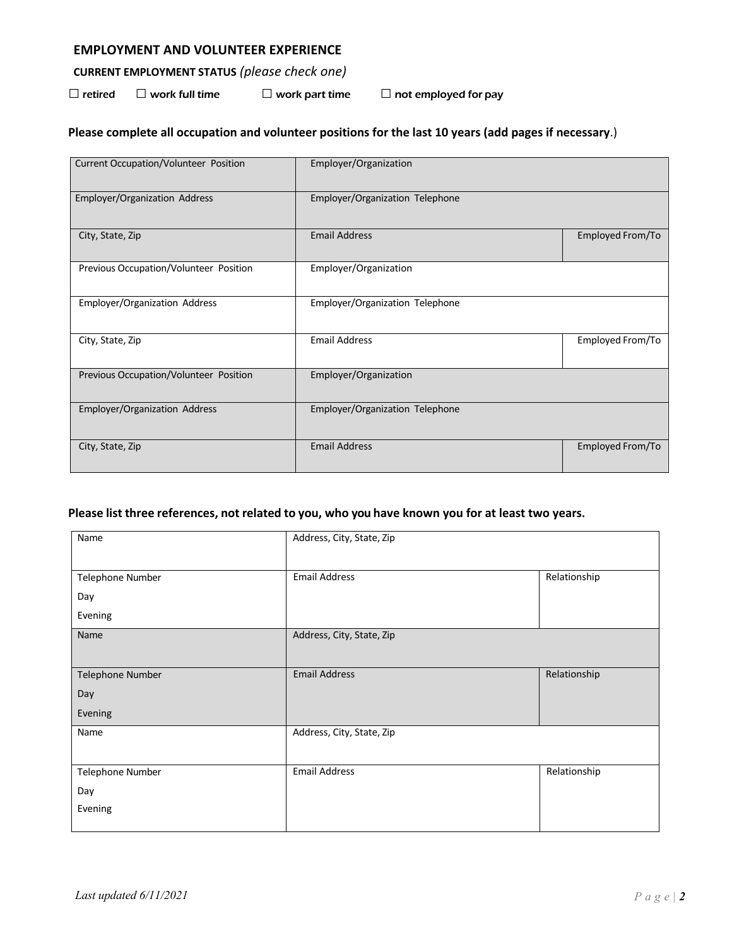# **EMPLOYMENT AND VOLUNTEER EXPERIENCE**

# **CURRENT EMPLOYMENT STATUS** *(please check one)*

 $\Box$  retired  $\Box$  work full time  $\Box$  work part time  $\Box$  not employed for pay

### **Please complete all occupation and volunteer positions for the last 10 years (add pages if necessary**.)

| Current Occupation/Volunteer Position  | Employer/Organization           |                  |
|----------------------------------------|---------------------------------|------------------|
| Employer/Organization Address          | Employer/Organization Telephone |                  |
| City, State, Zip                       | <b>Email Address</b>            | Employed From/To |
| Previous Occupation/Volunteer Position | Employer/Organization           |                  |
| Employer/Organization Address          | Employer/Organization Telephone |                  |
| City, State, Zip                       | <b>Email Address</b>            | Employed From/To |
| Previous Occupation/Volunteer Position | Employer/Organization           |                  |
| Employer/Organization Address          | Employer/Organization Telephone |                  |
| City, State, Zip                       | <b>Email Address</b>            | Employed From/To |

# **Please list three references, not related to you, who you have known you for at least two years.**

| Name             | Address, City, State, Zip |              |
|------------------|---------------------------|--------------|
|                  |                           |              |
| Telephone Number | <b>Email Address</b>      | Relationship |
| Day              |                           |              |
| Evening          |                           |              |
| Name             | Address, City, State, Zip |              |
|                  |                           |              |
| Telephone Number | <b>Email Address</b>      | Relationship |
| Day              |                           |              |
| Evening          |                           |              |
| Name             | Address, City, State, Zip |              |
|                  |                           |              |
| Telephone Number | <b>Email Address</b>      | Relationship |
| Day              |                           |              |
| Evening          |                           |              |
|                  |                           |              |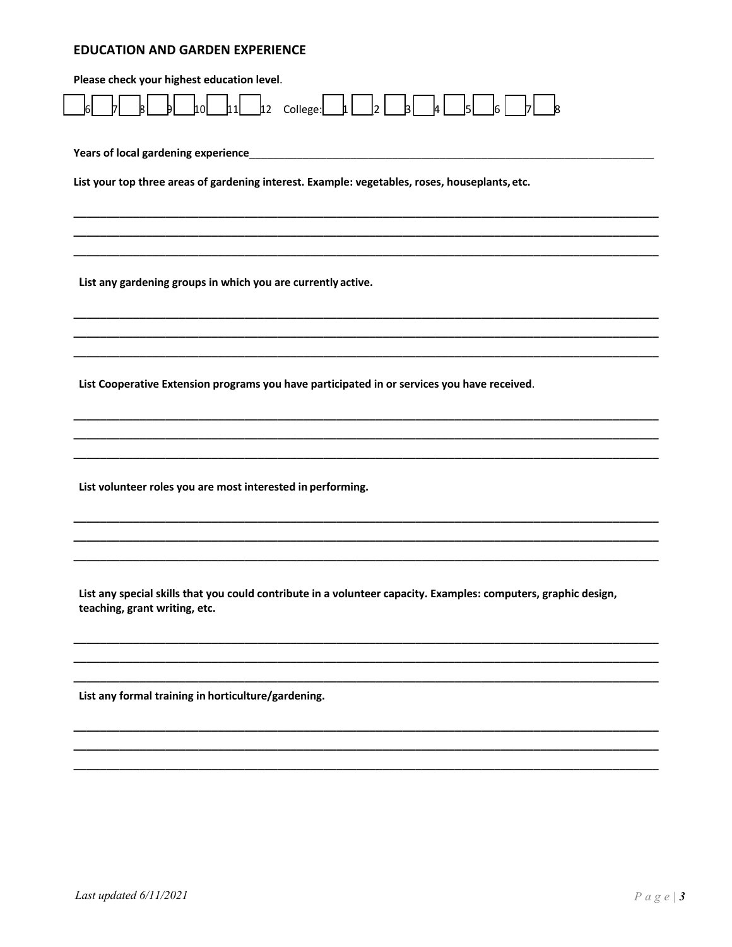# **EDUCATION AND GARDEN EXPERIENCE**

| Please check your highest education level.                                                                                                       |  |  |  |  |
|--------------------------------------------------------------------------------------------------------------------------------------------------|--|--|--|--|
| $\begin{array}{ c c c c c }\n\hline\n12 & \text{College:} & \hline\n\end{array}$<br>h <sub>1</sub><br>$\overline{2}$<br>h٥                       |  |  |  |  |
|                                                                                                                                                  |  |  |  |  |
| List your top three areas of gardening interest. Example: vegetables, roses, houseplants, etc.                                                   |  |  |  |  |
|                                                                                                                                                  |  |  |  |  |
|                                                                                                                                                  |  |  |  |  |
| List any gardening groups in which you are currently active.                                                                                     |  |  |  |  |
|                                                                                                                                                  |  |  |  |  |
| List Cooperative Extension programs you have participated in or services you have received.                                                      |  |  |  |  |
|                                                                                                                                                  |  |  |  |  |
| List volunteer roles you are most interested in performing.                                                                                      |  |  |  |  |
|                                                                                                                                                  |  |  |  |  |
| List any special skills that you could contribute in a volunteer capacity. Examples: computers, graphic design,<br>teaching, grant writing, etc. |  |  |  |  |
|                                                                                                                                                  |  |  |  |  |
| List any formal training in horticulture/gardening.                                                                                              |  |  |  |  |
|                                                                                                                                                  |  |  |  |  |
|                                                                                                                                                  |  |  |  |  |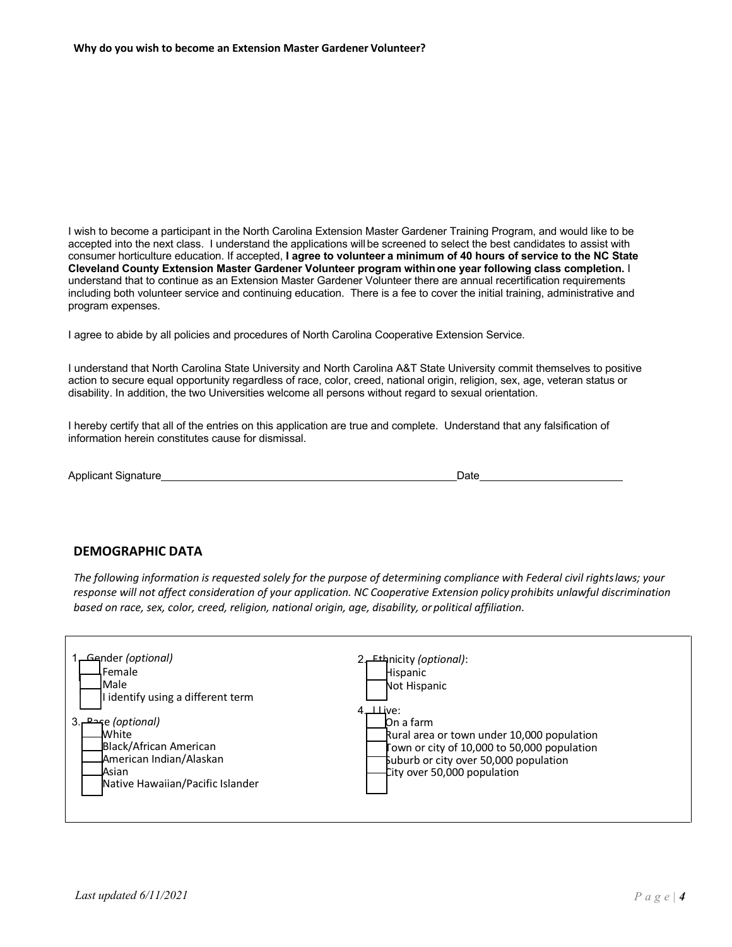I wish to become a participant in the North Carolina Extension Master Gardener Training Program, and would like to be accepted into the next class. I understand the applications willbe screened to select the best candidates to assist with consumer horticulture education. If accepted, **I agree to volunteer a minimum of 40 hours of service to the NC State Cleveland County Extension Master Gardener Volunteer program withinone year following class completion.** I understand that to continue as an Extension Master Gardener Volunteer there are annual recertification requirements including both volunteer service and continuing education. There is a fee to cover the initial training, administrative and program expenses.

I agree to abide by all policies and procedures of North Carolina Cooperative Extension Service.

I understand that North Carolina State University and North Carolina A&T State University commit themselves to positive action to secure equal opportunity regardless of race, color, creed, national origin, religion, sex, age, veteran status or disability. In addition, the two Universities welcome all persons without regard to sexual orientation.

I hereby certify that all of the entries on this application are true and complete. Understand that any falsification of information herein constitutes cause for dismissal.

Applicant Signature **Date** 

#### **DEMOGRAPHIC DATA**

*The following information is requested solely for the purpose of determining compliance with Federal civil rightslaws; your response will not affect consideration of your application. NC Cooperative Extension policy prohibits unlawful discrimination based on race, sex, color, creed, religion, national origin, age, disability, or political affiliation*.